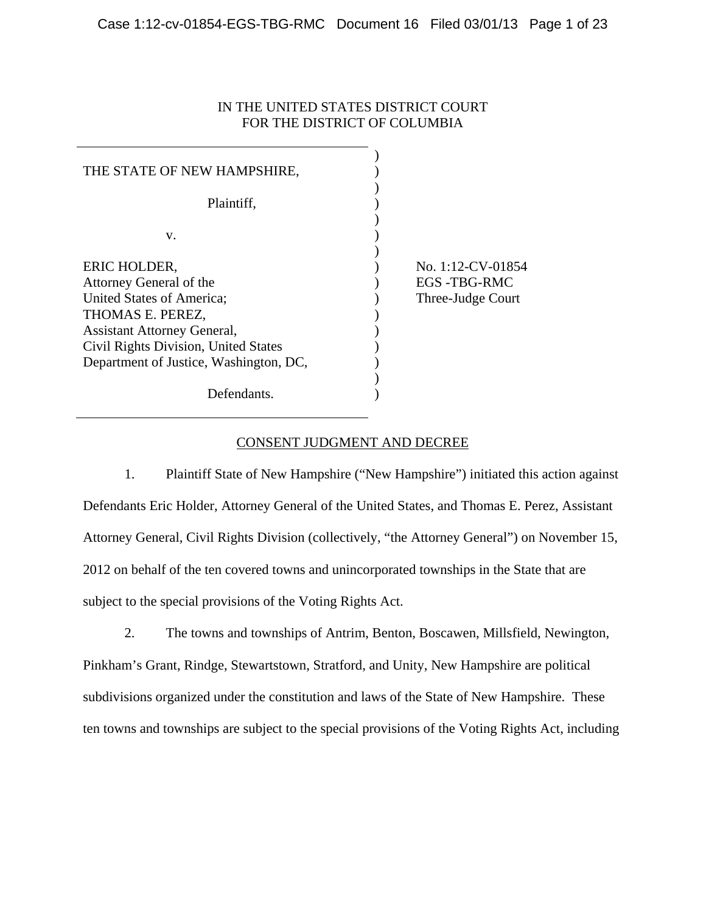# IN THE UNITED STATES DISTRICT COURT FOR THE DISTRICT OF COLUMBIA

| THE STATE OF NEW HAMPSHIRE,            |                    |
|----------------------------------------|--------------------|
| Plaintiff,                             |                    |
| V.                                     |                    |
| ERIC HOLDER,                           | No. 1:12-CV-01854  |
| Attorney General of the                | <b>EGS-TBG-RMC</b> |
| United States of America;              | Three-Judge Court  |
| THOMAS E. PEREZ,                       |                    |
| <b>Assistant Attorney General,</b>     |                    |
| Civil Rights Division, United States   |                    |
| Department of Justice, Washington, DC, |                    |
|                                        |                    |
| Defendants.                            |                    |

## CONSENT JUDGMENT AND DECREE

1. Plaintiff State of New Hampshire ("New Hampshire") initiated this action against Defendants Eric Holder, Attorney General of the United States, and Thomas E. Perez, Assistant Attorney General, Civil Rights Division (collectively, "the Attorney General") on November 15, 2012 on behalf of the ten covered towns and unincorporated townships in the State that are subject to the special provisions of the Voting Rights Act.

2. The towns and townships of Antrim, Benton, Boscawen, Millsfield, Newington, Pinkham's Grant, Rindge, Stewartstown, Stratford, and Unity, New Hampshire are political subdivisions organized under the constitution and laws of the State of New Hampshire. These ten towns and townships are subject to the special provisions of the Voting Rights Act, including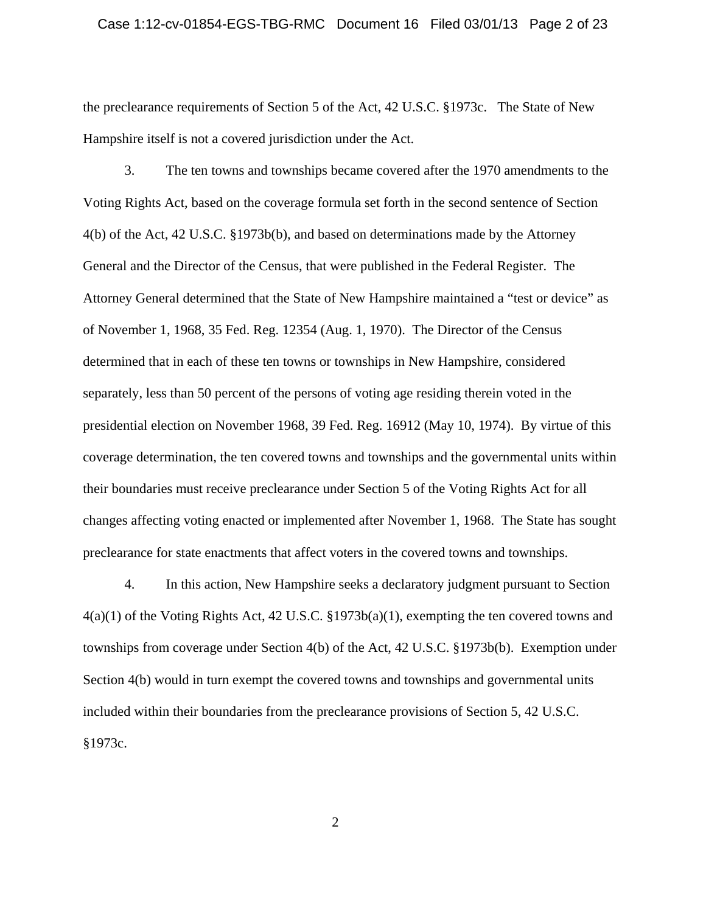#### Case 1:12-cv-01854-EGS-TBG-RMC Document 16 Filed 03/01/13 Page 2 of 23

the preclearance requirements of Section 5 of the Act, 42 U.S.C. §1973c. The State of New Hampshire itself is not a covered jurisdiction under the Act.

3. The ten towns and townships became covered after the 1970 amendments to the Voting Rights Act, based on the coverage formula set forth in the second sentence of Section 4(b) of the Act, 42 U.S.C. §1973b(b), and based on determinations made by the Attorney General and the Director of the Census, that were published in the Federal Register. The Attorney General determined that the State of New Hampshire maintained a "test or device" as of November 1, 1968, 35 Fed. Reg. 12354 (Aug. 1, 1970). The Director of the Census determined that in each of these ten towns or townships in New Hampshire, considered separately, less than 50 percent of the persons of voting age residing therein voted in the presidential election on November 1968, 39 Fed. Reg. 16912 (May 10, 1974). By virtue of this coverage determination, the ten covered towns and townships and the governmental units within their boundaries must receive preclearance under Section 5 of the Voting Rights Act for all changes affecting voting enacted or implemented after November 1, 1968. The State has sought preclearance for state enactments that affect voters in the covered towns and townships.

4. In this action, New Hampshire seeks a declaratory judgment pursuant to Section  $4(a)(1)$  of the Voting Rights Act, 42 U.S.C. §1973b(a)(1), exempting the ten covered towns and townships from coverage under Section 4(b) of the Act, 42 U.S.C. §1973b(b). Exemption under Section 4(b) would in turn exempt the covered towns and townships and governmental units included within their boundaries from the preclearance provisions of Section 5, 42 U.S.C. §1973c.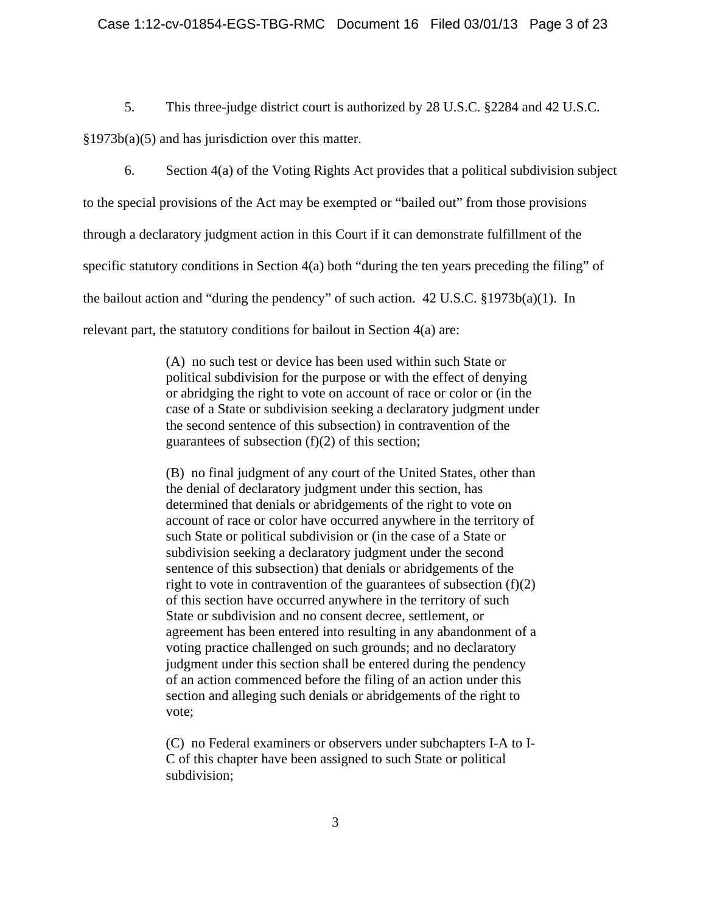#### Case 1:12-cv-01854-EGS-TBG-RMC Document 16 Filed 03/01/13 Page 3 of 23

5. This three-judge district court is authorized by 28 U.S.C. §2284 and 42 U.S.C.

§1973b(a)(5) and has jurisdiction over this matter.

6. Section 4(a) of the Voting Rights Act provides that a political subdivision subject to the special provisions of the Act may be exempted or "bailed out" from those provisions through a declaratory judgment action in this Court if it can demonstrate fulfillment of the specific statutory conditions in Section 4(a) both "during the ten years preceding the filing" of the bailout action and "during the pendency" of such action. 42 U.S.C. §1973b(a)(1). In relevant part, the statutory conditions for bailout in Section 4(a) are:

> (A) no such test or device has been used within such State or political subdivision for the purpose or with the effect of denying or abridging the right to vote on account of race or color or (in the case of a State or subdivision seeking a declaratory judgment under the second sentence of this subsection) in contravention of the guarantees of subsection  $(f)(2)$  of this section;

> (B) no final judgment of any court of the United States, other than the denial of declaratory judgment under this section, has determined that denials or abridgements of the right to vote on account of race or color have occurred anywhere in the territory of such State or political subdivision or (in the case of a State or subdivision seeking a declaratory judgment under the second sentence of this subsection) that denials or abridgements of the right to vote in contravention of the guarantees of subsection  $(f)(2)$ of this section have occurred anywhere in the territory of such State or subdivision and no consent decree, settlement, or agreement has been entered into resulting in any abandonment of a voting practice challenged on such grounds; and no declaratory judgment under this section shall be entered during the pendency of an action commenced before the filing of an action under this section and alleging such denials or abridgements of the right to vote;

> (C) no Federal examiners or observers under subchapters I-A to I-C of this chapter have been assigned to such State or political subdivision;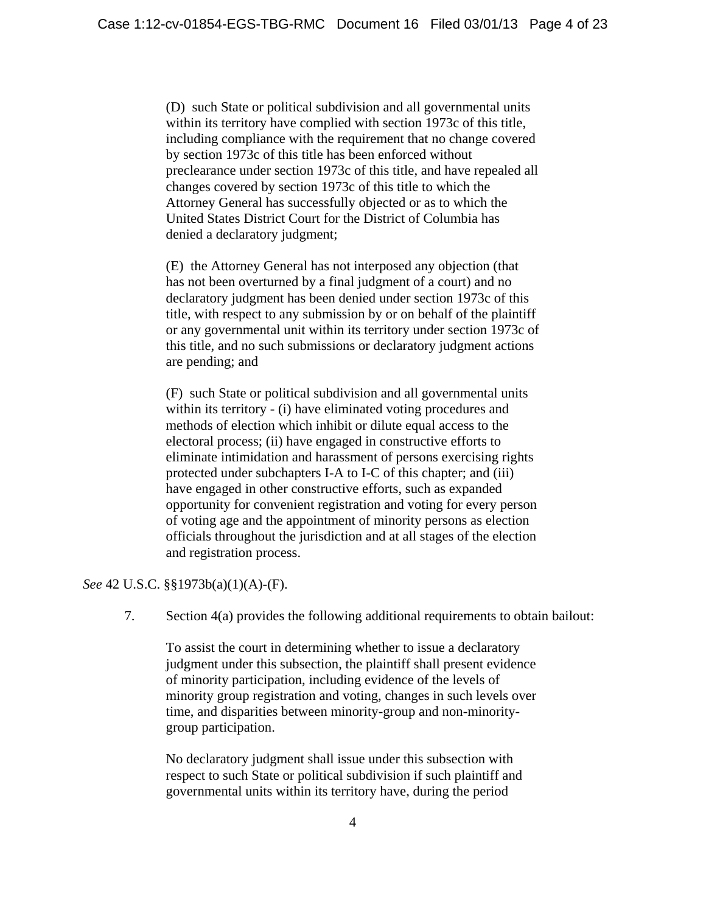(D) such State or political subdivision and all governmental units within its territory have complied with section 1973c of this title, including compliance with the requirement that no change covered by section 1973c of this title has been enforced without preclearance under section 1973c of this title, and have repealed all changes covered by section 1973c of this title to which the Attorney General has successfully objected or as to which the United States District Court for the District of Columbia has denied a declaratory judgment;

(E) the Attorney General has not interposed any objection (that has not been overturned by a final judgment of a court) and no declaratory judgment has been denied under section 1973c of this title, with respect to any submission by or on behalf of the plaintiff or any governmental unit within its territory under section 1973c of this title, and no such submissions or declaratory judgment actions are pending; and

(F) such State or political subdivision and all governmental units within its territory - (i) have eliminated voting procedures and methods of election which inhibit or dilute equal access to the electoral process; (ii) have engaged in constructive efforts to eliminate intimidation and harassment of persons exercising rights protected under subchapters I-A to I-C of this chapter; and (iii) have engaged in other constructive efforts, such as expanded opportunity for convenient registration and voting for every person of voting age and the appointment of minority persons as election officials throughout the jurisdiction and at all stages of the election and registration process.

*See* 42 U.S.C. §§1973b(a)(1)(A)-(F).

7. Section 4(a) provides the following additional requirements to obtain bailout:

To assist the court in determining whether to issue a declaratory judgment under this subsection, the plaintiff shall present evidence of minority participation, including evidence of the levels of minority group registration and voting, changes in such levels over time, and disparities between minority-group and non-minoritygroup participation.

No declaratory judgment shall issue under this subsection with respect to such State or political subdivision if such plaintiff and governmental units within its territory have, during the period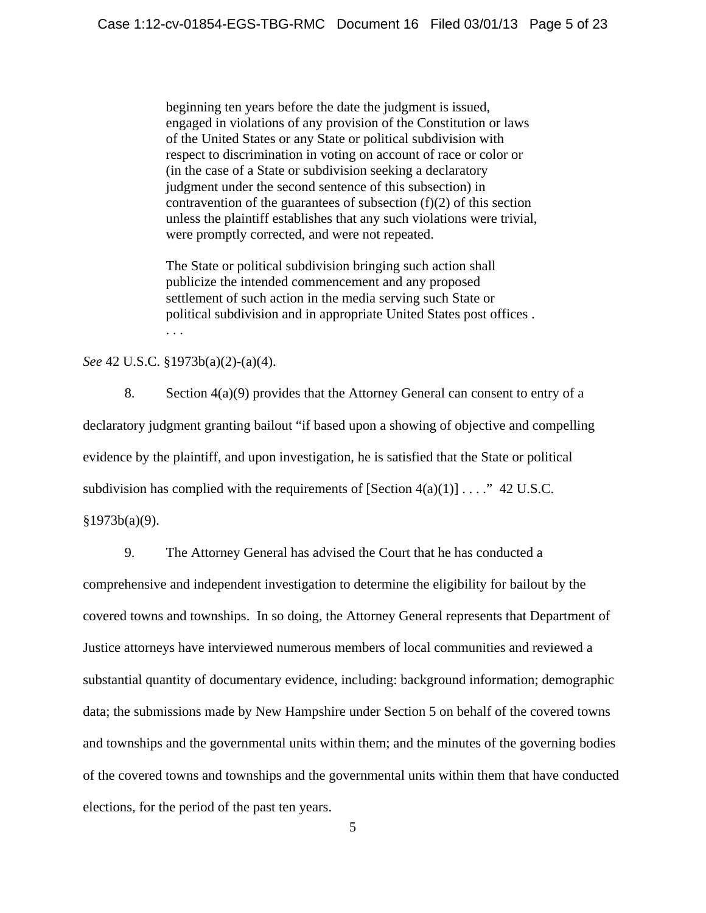beginning ten years before the date the judgment is issued, engaged in violations of any provision of the Constitution or laws of the United States or any State or political subdivision with respect to discrimination in voting on account of race or color or (in the case of a State or subdivision seeking a declaratory judgment under the second sentence of this subsection) in contravention of the guarantees of subsection  $(f)(2)$  of this section unless the plaintiff establishes that any such violations were trivial, were promptly corrected, and were not repeated.

The State or political subdivision bringing such action shall publicize the intended commencement and any proposed settlement of such action in the media serving such State or political subdivision and in appropriate United States post offices . . . .

### *See* 42 U.S.C. §1973b(a)(2)-(a)(4).

8. Section 4(a)(9) provides that the Attorney General can consent to entry of a declaratory judgment granting bailout "if based upon a showing of objective and compelling evidence by the plaintiff, and upon investigation, he is satisfied that the State or political subdivision has complied with the requirements of  $[Section 4(a)(1)] \dots$ ." 42 U.S.C. §1973b(a)(9).

9. The Attorney General has advised the Court that he has conducted a comprehensive and independent investigation to determine the eligibility for bailout by the covered towns and townships. In so doing, the Attorney General represents that Department of Justice attorneys have interviewed numerous members of local communities and reviewed a substantial quantity of documentary evidence, including: background information; demographic data; the submissions made by New Hampshire under Section 5 on behalf of the covered towns and townships and the governmental units within them; and the minutes of the governing bodies of the covered towns and townships and the governmental units within them that have conducted elections, for the period of the past ten years.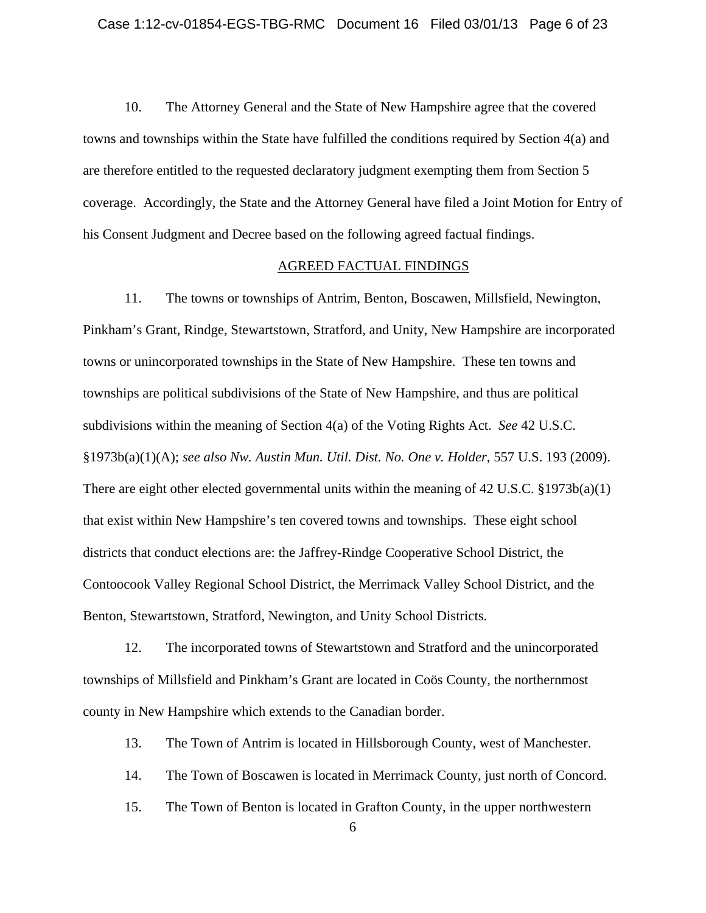10. The Attorney General and the State of New Hampshire agree that the covered towns and townships within the State have fulfilled the conditions required by Section 4(a) and are therefore entitled to the requested declaratory judgment exempting them from Section 5 coverage. Accordingly, the State and the Attorney General have filed a Joint Motion for Entry of his Consent Judgment and Decree based on the following agreed factual findings.

#### AGREED FACTUAL FINDINGS

11. The towns or townships of Antrim, Benton, Boscawen, Millsfield, Newington, Pinkham's Grant, Rindge, Stewartstown, Stratford, and Unity, New Hampshire are incorporated towns or unincorporated townships in the State of New Hampshire. These ten towns and townships are political subdivisions of the State of New Hampshire, and thus are political subdivisions within the meaning of Section 4(a) of the Voting Rights Act. *See* 42 U.S.C. §1973b(a)(1)(A); *see also Nw. Austin Mun. Util. Dist. No. One v. Holder*, 557 U.S. 193 (2009). There are eight other elected governmental units within the meaning of 42 U.S.C.  $\S 1973b(a)(1)$ that exist within New Hampshire's ten covered towns and townships. These eight school districts that conduct elections are: the Jaffrey-Rindge Cooperative School District, the Contoocook Valley Regional School District, the Merrimack Valley School District, and the Benton, Stewartstown, Stratford, Newington, and Unity School Districts.

12. The incorporated towns of Stewartstown and Stratford and the unincorporated townships of Millsfield and Pinkham's Grant are located in Coös County, the northernmost county in New Hampshire which extends to the Canadian border.

13. The Town of Antrim is located in Hillsborough County, west of Manchester.

14. The Town of Boscawen is located in Merrimack County, just north of Concord.

15. The Town of Benton is located in Grafton County, in the upper northwestern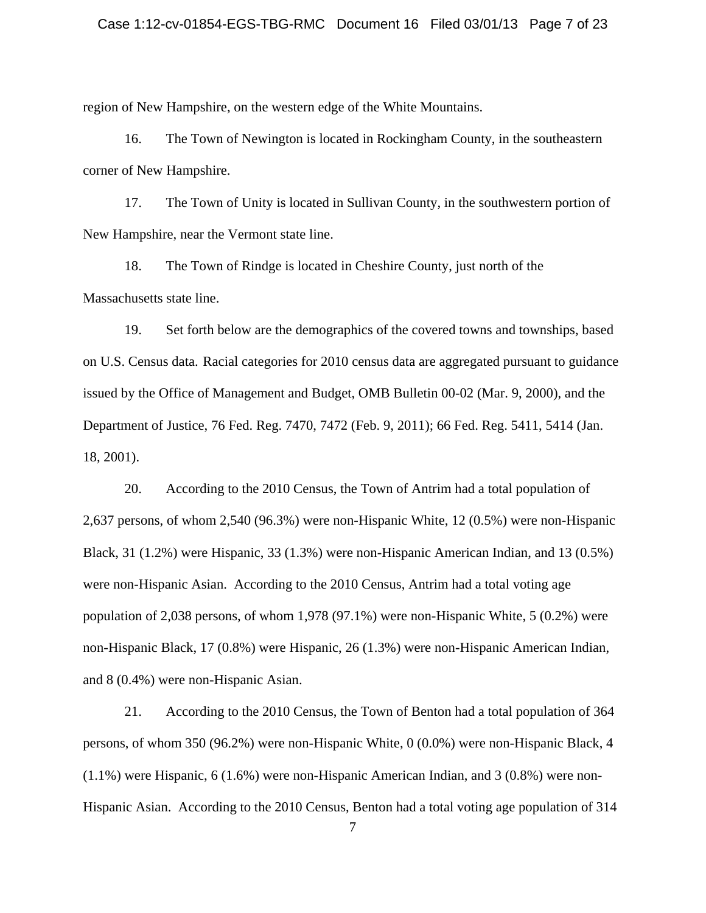region of New Hampshire, on the western edge of the White Mountains.

16. The Town of Newington is located in Rockingham County, in the southeastern corner of New Hampshire.

17. The Town of Unity is located in Sullivan County, in the southwestern portion of New Hampshire, near the Vermont state line.

18. The Town of Rindge is located in Cheshire County, just north of the Massachusetts state line.

19. Set forth below are the demographics of the covered towns and townships, based on U.S. Census data. Racial categories for 2010 census data are aggregated pursuant to guidance issued by the Office of Management and Budget, OMB Bulletin 00-02 (Mar. 9, 2000), and the Department of Justice, 76 Fed. Reg. 7470, 7472 (Feb. 9, 2011); 66 Fed. Reg. 5411, 5414 (Jan. 18, 2001).

20. According to the 2010 Census, the Town of Antrim had a total population of 2,637 persons, of whom 2,540 (96.3%) were non-Hispanic White, 12 (0.5%) were non-Hispanic Black, 31 (1.2%) were Hispanic, 33 (1.3%) were non-Hispanic American Indian, and 13 (0.5%) were non-Hispanic Asian. According to the 2010 Census, Antrim had a total voting age population of 2,038 persons, of whom 1,978 (97.1%) were non-Hispanic White, 5 (0.2%) were non-Hispanic Black, 17 (0.8%) were Hispanic, 26 (1.3%) were non-Hispanic American Indian, and 8 (0.4%) were non-Hispanic Asian.

21. According to the 2010 Census, the Town of Benton had a total population of 364 persons, of whom 350 (96.2%) were non-Hispanic White, 0 (0.0%) were non-Hispanic Black, 4 (1.1%) were Hispanic, 6 (1.6%) were non-Hispanic American Indian, and 3 (0.8%) were non-Hispanic Asian. According to the 2010 Census, Benton had a total voting age population of 314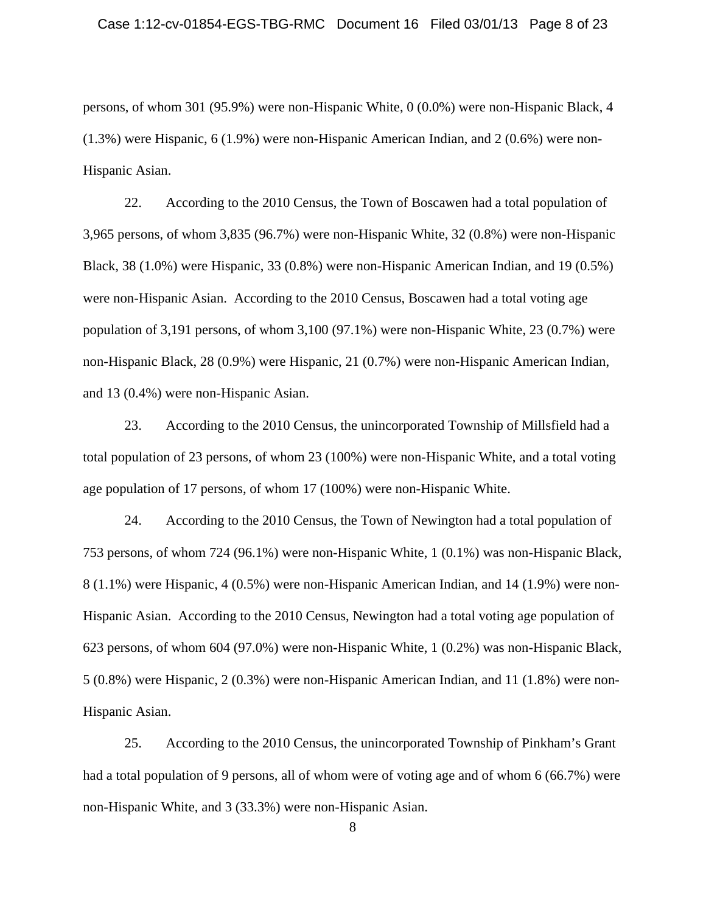persons, of whom 301 (95.9%) were non-Hispanic White, 0 (0.0%) were non-Hispanic Black, 4 (1.3%) were Hispanic, 6 (1.9%) were non-Hispanic American Indian, and 2 (0.6%) were non-Hispanic Asian.

22. According to the 2010 Census, the Town of Boscawen had a total population of 3,965 persons, of whom 3,835 (96.7%) were non-Hispanic White, 32 (0.8%) were non-Hispanic Black, 38 (1.0%) were Hispanic, 33 (0.8%) were non-Hispanic American Indian, and 19 (0.5%) were non-Hispanic Asian. According to the 2010 Census, Boscawen had a total voting age population of 3,191 persons, of whom 3,100 (97.1%) were non-Hispanic White, 23 (0.7%) were non-Hispanic Black, 28 (0.9%) were Hispanic, 21 (0.7%) were non-Hispanic American Indian, and 13 (0.4%) were non-Hispanic Asian.

23. According to the 2010 Census, the unincorporated Township of Millsfield had a total population of 23 persons, of whom 23 (100%) were non-Hispanic White, and a total voting age population of 17 persons, of whom 17 (100%) were non-Hispanic White.

24. According to the 2010 Census, the Town of Newington had a total population of 753 persons, of whom 724 (96.1%) were non-Hispanic White, 1 (0.1%) was non-Hispanic Black, 8 (1.1%) were Hispanic, 4 (0.5%) were non-Hispanic American Indian, and 14 (1.9%) were non-Hispanic Asian. According to the 2010 Census, Newington had a total voting age population of 623 persons, of whom 604 (97.0%) were non-Hispanic White, 1 (0.2%) was non-Hispanic Black, 5 (0.8%) were Hispanic, 2 (0.3%) were non-Hispanic American Indian, and 11 (1.8%) were non-Hispanic Asian.

25. According to the 2010 Census, the unincorporated Township of Pinkham's Grant had a total population of 9 persons, all of whom were of voting age and of whom 6 (66.7%) were non-Hispanic White, and 3 (33.3%) were non-Hispanic Asian.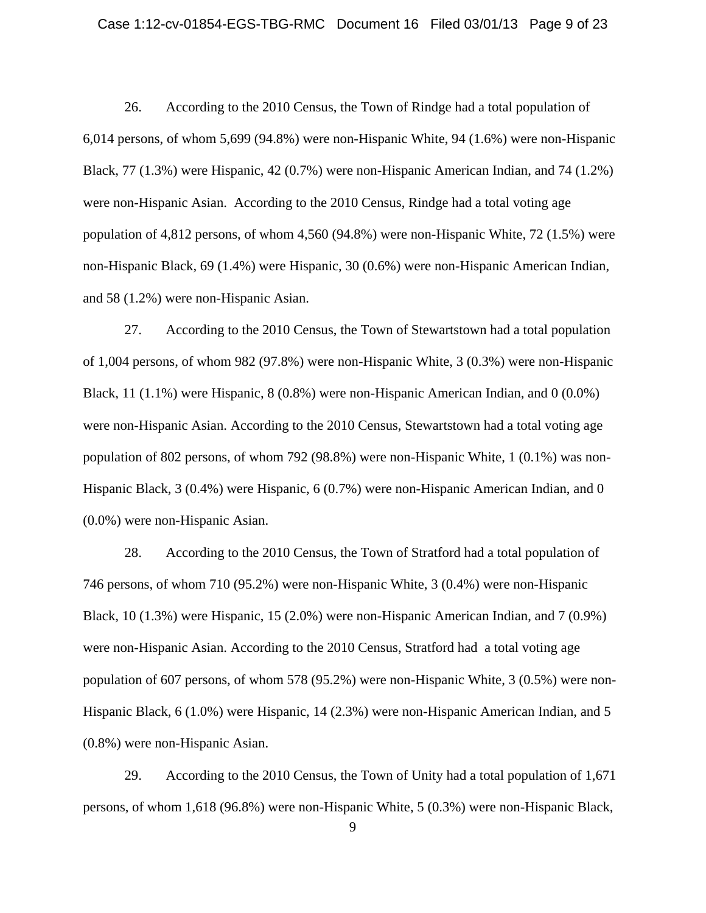#### Case 1:12-cv-01854-EGS-TBG-RMC Document 16 Filed 03/01/13 Page 9 of 23

26. According to the 2010 Census, the Town of Rindge had a total population of 6,014 persons, of whom 5,699 (94.8%) were non-Hispanic White, 94 (1.6%) were non-Hispanic Black, 77 (1.3%) were Hispanic, 42 (0.7%) were non-Hispanic American Indian, and 74 (1.2%) were non-Hispanic Asian. According to the 2010 Census, Rindge had a total voting age population of 4,812 persons, of whom 4,560 (94.8%) were non-Hispanic White, 72 (1.5%) were non-Hispanic Black, 69 (1.4%) were Hispanic, 30 (0.6%) were non-Hispanic American Indian, and 58 (1.2%) were non-Hispanic Asian.

27. According to the 2010 Census, the Town of Stewartstown had a total population of 1,004 persons, of whom 982 (97.8%) were non-Hispanic White, 3 (0.3%) were non-Hispanic Black, 11 (1.1%) were Hispanic, 8 (0.8%) were non-Hispanic American Indian, and 0 (0.0%) were non-Hispanic Asian. According to the 2010 Census, Stewartstown had a total voting age population of 802 persons, of whom 792 (98.8%) were non-Hispanic White, 1 (0.1%) was non-Hispanic Black, 3 (0.4%) were Hispanic, 6 (0.7%) were non-Hispanic American Indian, and 0 (0.0%) were non-Hispanic Asian.

28. According to the 2010 Census, the Town of Stratford had a total population of 746 persons, of whom 710 (95.2%) were non-Hispanic White, 3 (0.4%) were non-Hispanic Black, 10 (1.3%) were Hispanic, 15 (2.0%) were non-Hispanic American Indian, and 7 (0.9%) were non-Hispanic Asian. According to the 2010 Census, Stratford had a total voting age population of 607 persons, of whom 578 (95.2%) were non-Hispanic White, 3 (0.5%) were non-Hispanic Black, 6 (1.0%) were Hispanic, 14 (2.3%) were non-Hispanic American Indian, and 5 (0.8%) were non-Hispanic Asian.

29. According to the 2010 Census, the Town of Unity had a total population of 1,671 persons, of whom 1,618 (96.8%) were non-Hispanic White, 5 (0.3%) were non-Hispanic Black,

 <sup>9</sup>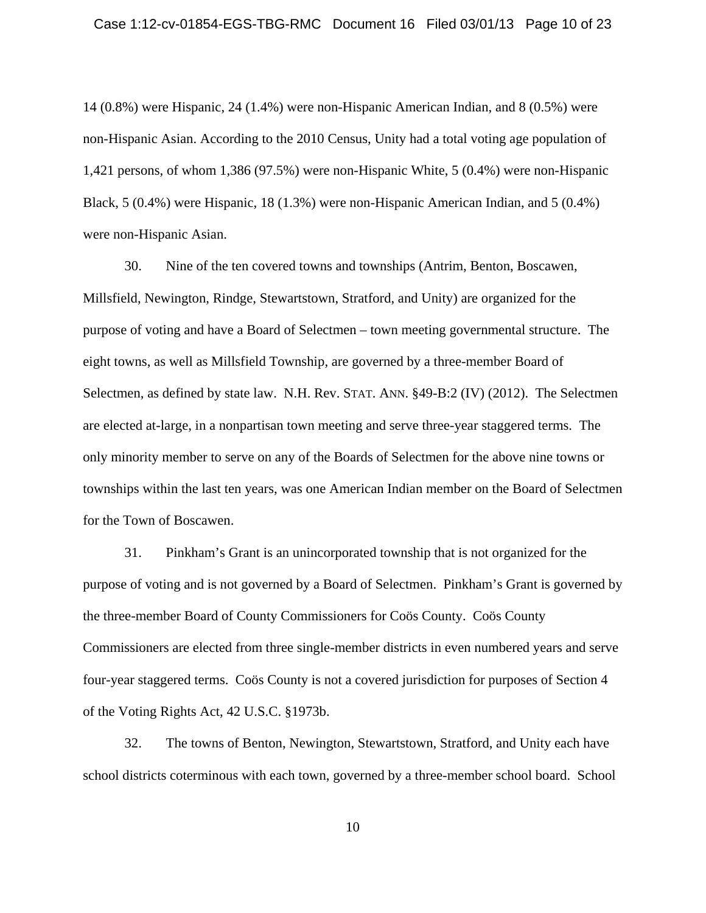14 (0.8%) were Hispanic, 24 (1.4%) were non-Hispanic American Indian, and 8 (0.5%) were non-Hispanic Asian. According to the 2010 Census, Unity had a total voting age population of 1,421 persons, of whom 1,386 (97.5%) were non-Hispanic White, 5 (0.4%) were non-Hispanic Black, 5 (0.4%) were Hispanic, 18 (1.3%) were non-Hispanic American Indian, and 5 (0.4%) were non-Hispanic Asian.

30. Nine of the ten covered towns and townships (Antrim, Benton, Boscawen, Millsfield, Newington, Rindge, Stewartstown, Stratford, and Unity) are organized for the purpose of voting and have a Board of Selectmen – town meeting governmental structure. The eight towns, as well as Millsfield Township, are governed by a three-member Board of Selectmen, as defined by state law. N.H. Rev. STAT. ANN. §49-B:2 (IV) (2012). The Selectmen are elected at-large, in a nonpartisan town meeting and serve three-year staggered terms. The only minority member to serve on any of the Boards of Selectmen for the above nine towns or townships within the last ten years, was one American Indian member on the Board of Selectmen for the Town of Boscawen.

31. Pinkham's Grant is an unincorporated township that is not organized for the purpose of voting and is not governed by a Board of Selectmen. Pinkham's Grant is governed by the three-member Board of County Commissioners for Coös County. Coös County Commissioners are elected from three single-member districts in even numbered years and serve four-year staggered terms. Coös County is not a covered jurisdiction for purposes of Section 4 of the Voting Rights Act, 42 U.S.C. §1973b.

32. The towns of Benton, Newington, Stewartstown, Stratford, and Unity each have school districts coterminous with each town, governed by a three-member school board. School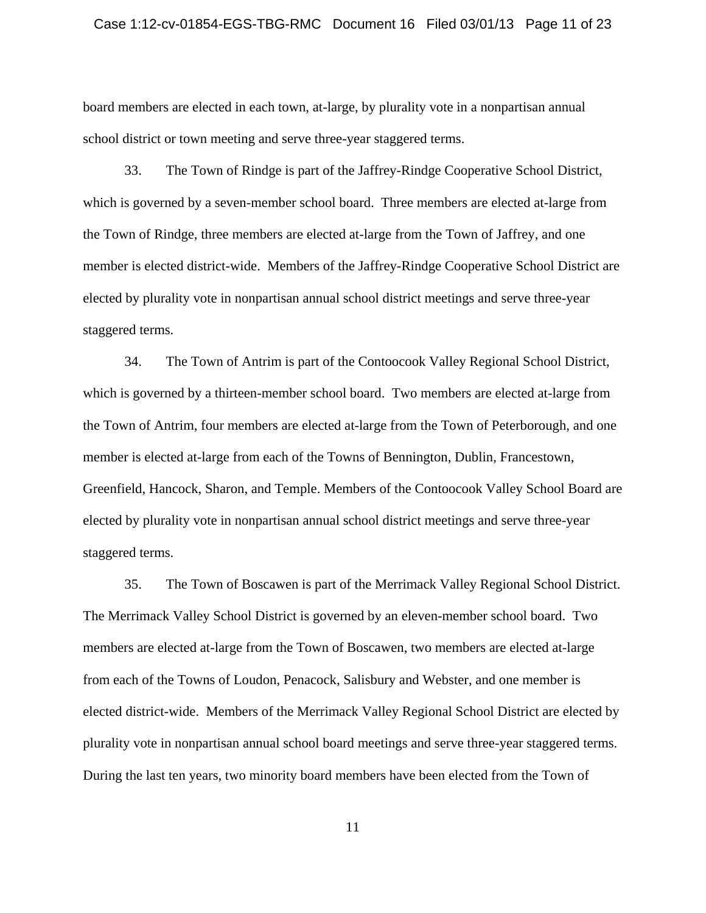#### Case 1:12-cv-01854-EGS-TBG-RMC Document 16 Filed 03/01/13 Page 11 of 23

board members are elected in each town, at-large, by plurality vote in a nonpartisan annual school district or town meeting and serve three-year staggered terms.

33. The Town of Rindge is part of the Jaffrey-Rindge Cooperative School District, which is governed by a seven-member school board. Three members are elected at-large from the Town of Rindge, three members are elected at-large from the Town of Jaffrey, and one member is elected district-wide. Members of the Jaffrey-Rindge Cooperative School District are elected by plurality vote in nonpartisan annual school district meetings and serve three-year staggered terms.

34. The Town of Antrim is part of the Contoocook Valley Regional School District, which is governed by a thirteen-member school board. Two members are elected at-large from the Town of Antrim, four members are elected at-large from the Town of Peterborough, and one member is elected at-large from each of the Towns of Bennington, Dublin, Francestown, Greenfield, Hancock, Sharon, and Temple. Members of the Contoocook Valley School Board are elected by plurality vote in nonpartisan annual school district meetings and serve three-year staggered terms.

35. The Town of Boscawen is part of the Merrimack Valley Regional School District. The Merrimack Valley School District is governed by an eleven-member school board. Two members are elected at-large from the Town of Boscawen, two members are elected at-large from each of the Towns of Loudon, Penacock, Salisbury and Webster, and one member is elected district-wide. Members of the Merrimack Valley Regional School District are elected by plurality vote in nonpartisan annual school board meetings and serve three-year staggered terms. During the last ten years, two minority board members have been elected from the Town of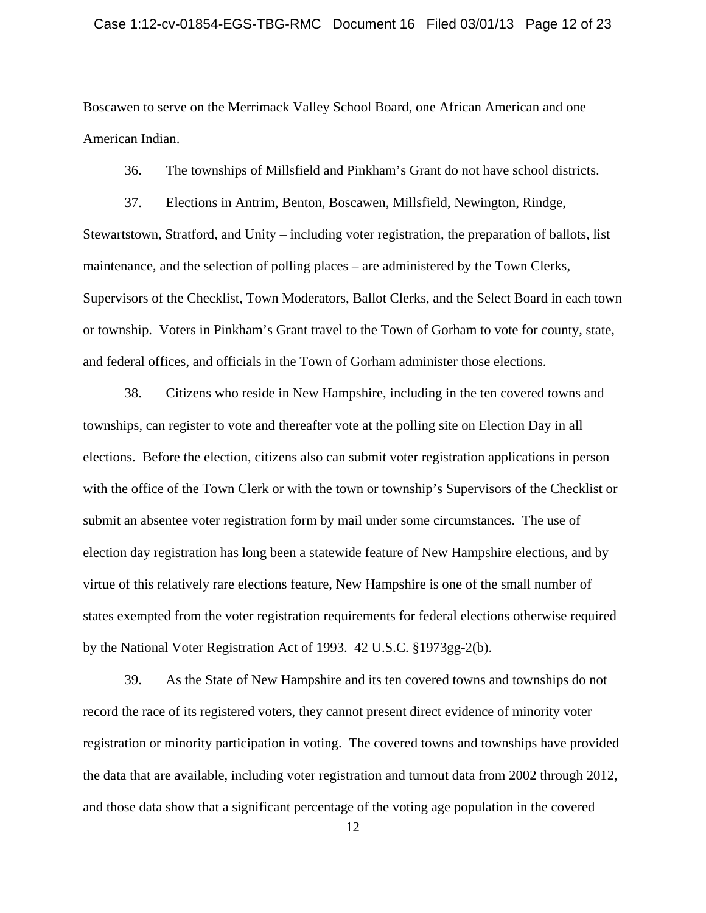#### Case 1:12-cv-01854-EGS-TBG-RMC Document 16 Filed 03/01/13 Page 12 of 23

Boscawen to serve on the Merrimack Valley School Board, one African American and one American Indian.

36. The townships of Millsfield and Pinkham's Grant do not have school districts.

37. Elections in Antrim, Benton, Boscawen, Millsfield, Newington, Rindge, Stewartstown, Stratford, and Unity – including voter registration, the preparation of ballots, list maintenance, and the selection of polling places – are administered by the Town Clerks, Supervisors of the Checklist, Town Moderators, Ballot Clerks, and the Select Board in each town or township. Voters in Pinkham's Grant travel to the Town of Gorham to vote for county, state, and federal offices, and officials in the Town of Gorham administer those elections.

38. Citizens who reside in New Hampshire, including in the ten covered towns and townships, can register to vote and thereafter vote at the polling site on Election Day in all elections. Before the election, citizens also can submit voter registration applications in person with the office of the Town Clerk or with the town or township's Supervisors of the Checklist or submit an absentee voter registration form by mail under some circumstances. The use of election day registration has long been a statewide feature of New Hampshire elections, and by virtue of this relatively rare elections feature, New Hampshire is one of the small number of states exempted from the voter registration requirements for federal elections otherwise required by the National Voter Registration Act of 1993. 42 U.S.C. §1973gg-2(b).

39. As the State of New Hampshire and its ten covered towns and townships do not record the race of its registered voters, they cannot present direct evidence of minority voter registration or minority participation in voting. The covered towns and townships have provided the data that are available, including voter registration and turnout data from 2002 through 2012, and those data show that a significant percentage of the voting age population in the covered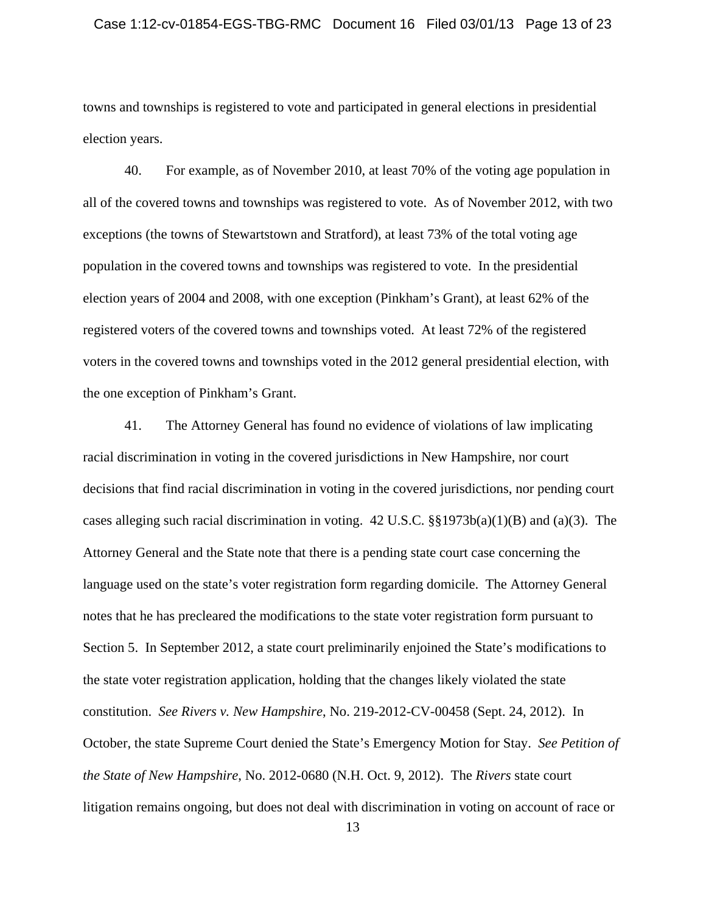#### Case 1:12-cv-01854-EGS-TBG-RMC Document 16 Filed 03/01/13 Page 13 of 23

towns and townships is registered to vote and participated in general elections in presidential election years.

40. For example, as of November 2010, at least 70% of the voting age population in all of the covered towns and townships was registered to vote. As of November 2012, with two exceptions (the towns of Stewartstown and Stratford), at least 73% of the total voting age population in the covered towns and townships was registered to vote. In the presidential election years of 2004 and 2008, with one exception (Pinkham's Grant), at least 62% of the registered voters of the covered towns and townships voted. At least 72% of the registered voters in the covered towns and townships voted in the 2012 general presidential election, with the one exception of Pinkham's Grant.

41. The Attorney General has found no evidence of violations of law implicating racial discrimination in voting in the covered jurisdictions in New Hampshire, nor court decisions that find racial discrimination in voting in the covered jurisdictions, nor pending court cases alleging such racial discrimination in voting. 42 U.S.C. §§1973b(a)(1)(B) and (a)(3). The Attorney General and the State note that there is a pending state court case concerning the language used on the state's voter registration form regarding domicile. The Attorney General notes that he has precleared the modifications to the state voter registration form pursuant to Section 5. In September 2012, a state court preliminarily enjoined the State's modifications to the state voter registration application, holding that the changes likely violated the state constitution. *See Rivers v. New Hampshire*, No. 219-2012-CV-00458 (Sept. 24, 2012). In October, the state Supreme Court denied the State's Emergency Motion for Stay. *See Petition of the State of New Hampshire*, No. 2012-0680 (N.H. Oct. 9, 2012). The *Rivers* state court litigation remains ongoing, but does not deal with discrimination in voting on account of race or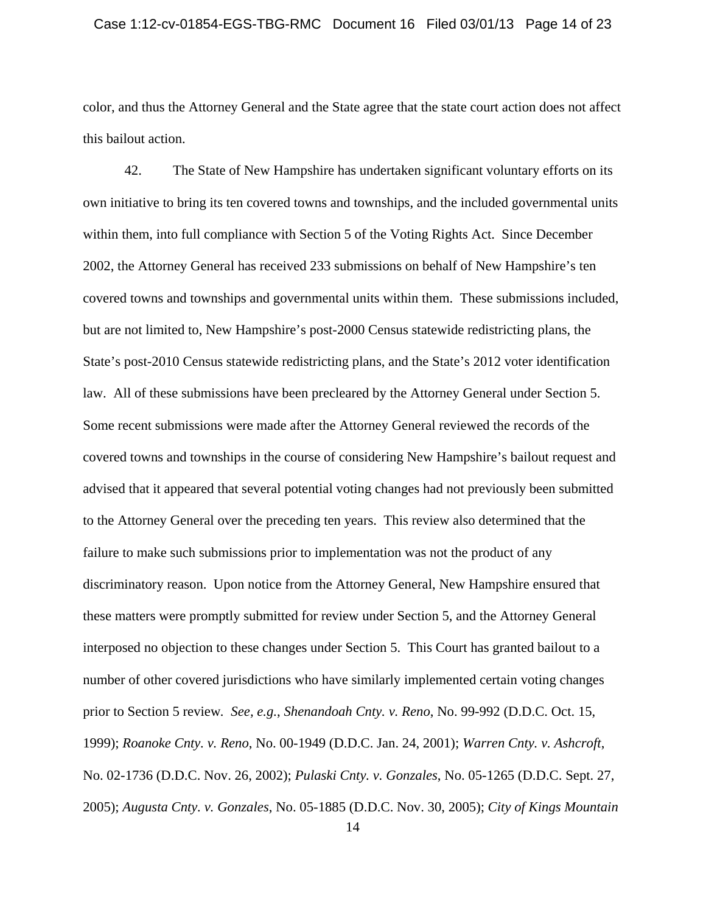#### Case 1:12-cv-01854-EGS-TBG-RMC Document 16 Filed 03/01/13 Page 14 of 23

color, and thus the Attorney General and the State agree that the state court action does not affect this bailout action.

42. The State of New Hampshire has undertaken significant voluntary efforts on its own initiative to bring its ten covered towns and townships, and the included governmental units within them, into full compliance with Section 5 of the Voting Rights Act. Since December 2002, the Attorney General has received 233 submissions on behalf of New Hampshire's ten covered towns and townships and governmental units within them. These submissions included, but are not limited to, New Hampshire's post-2000 Census statewide redistricting plans, the State's post-2010 Census statewide redistricting plans, and the State's 2012 voter identification law. All of these submissions have been precleared by the Attorney General under Section 5. Some recent submissions were made after the Attorney General reviewed the records of the covered towns and townships in the course of considering New Hampshire's bailout request and advised that it appeared that several potential voting changes had not previously been submitted to the Attorney General over the preceding ten years. This review also determined that the failure to make such submissions prior to implementation was not the product of any discriminatory reason. Upon notice from the Attorney General, New Hampshire ensured that these matters were promptly submitted for review under Section 5, and the Attorney General interposed no objection to these changes under Section 5. This Court has granted bailout to a number of other covered jurisdictions who have similarly implemented certain voting changes prior to Section 5 review*. See, e.g.*, *Shenandoah Cnty. v. Reno*, No. 99-992 (D.D.C. Oct. 15, 1999); *Roanoke Cnty. v. Reno*, No. 00-1949 (D.D.C. Jan. 24, 2001); *Warren Cnty. v. Ashcroft*, No. 02-1736 (D.D.C. Nov. 26, 2002); *Pulaski Cnty. v. Gonzales*, No. 05-1265 (D.D.C. Sept. 27, 2005); *Augusta Cnty. v. Gonzales*, No. 05-1885 (D.D.C. Nov. 30, 2005); *City of Kings Mountain*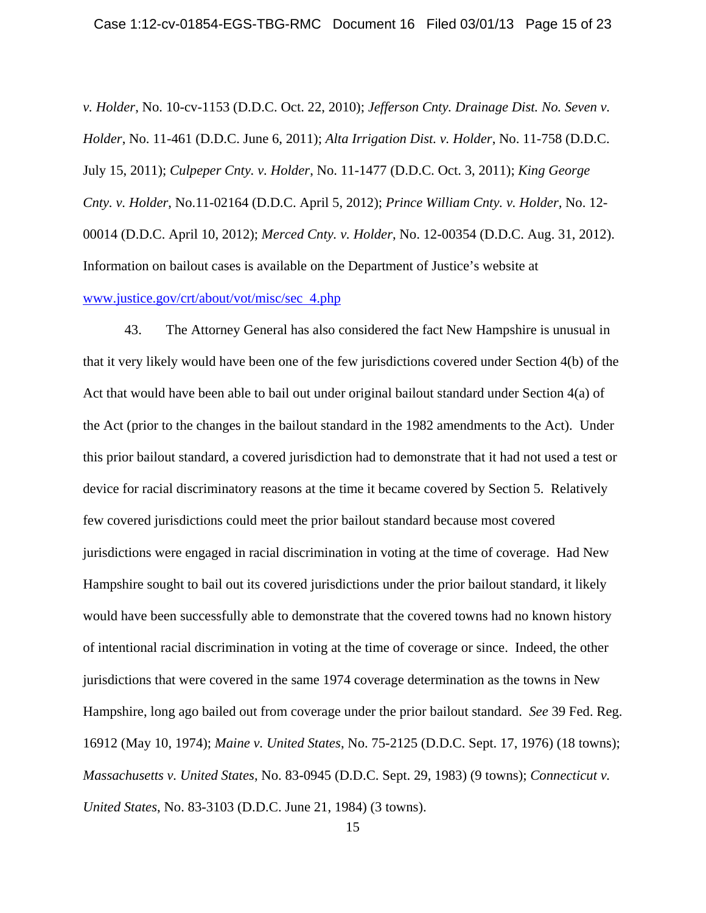*v. Holder*, No. 10-cv-1153 (D.D.C. Oct. 22, 2010); *Jefferson Cnty. Drainage Dist. No. Seven v. Holder*, No. 11-461 (D.D.C. June 6, 2011); *Alta Irrigation Dist. v. Holder*, No. 11-758 (D.D.C. July 15, 2011); *Culpeper Cnty. v. Holder*, No. 11-1477 (D.D.C. Oct. 3, 2011); *King George Cnty. v. Holder*, No.11-02164 (D.D.C. April 5, 2012); *Prince William Cnty. v. Holder,* No. 12- 00014 (D.D.C. April 10, 2012); *Merced Cnty. v. Holder*, No. 12-00354 (D.D.C. Aug. 31, 2012). Information on bailout cases is available on the Department of Justice's website at www.justice.gov/crt/about/vot/misc/sec 4.php

43. The Attorney General has also considered the fact New Hampshire is unusual in that it very likely would have been one of the few jurisdictions covered under Section 4(b) of the Act that would have been able to bail out under original bailout standard under Section 4(a) of the Act (prior to the changes in the bailout standard in the 1982 amendments to the Act). Under this prior bailout standard, a covered jurisdiction had to demonstrate that it had not used a test or device for racial discriminatory reasons at the time it became covered by Section 5. Relatively few covered jurisdictions could meet the prior bailout standard because most covered jurisdictions were engaged in racial discrimination in voting at the time of coverage. Had New Hampshire sought to bail out its covered jurisdictions under the prior bailout standard, it likely would have been successfully able to demonstrate that the covered towns had no known history of intentional racial discrimination in voting at the time of coverage or since. Indeed, the other jurisdictions that were covered in the same 1974 coverage determination as the towns in New Hampshire, long ago bailed out from coverage under the prior bailout standard. *See* 39 Fed. Reg. 16912 (May 10, 1974); *Maine v. United States*, No. 75-2125 (D.D.C. Sept. 17, 1976) (18 towns); *Massachusetts v. United States*, No. 83-0945 (D.D.C. Sept. 29, 1983) (9 towns); *Connecticut v. United States*, No. 83-3103 (D.D.C. June 21, 1984) (3 towns).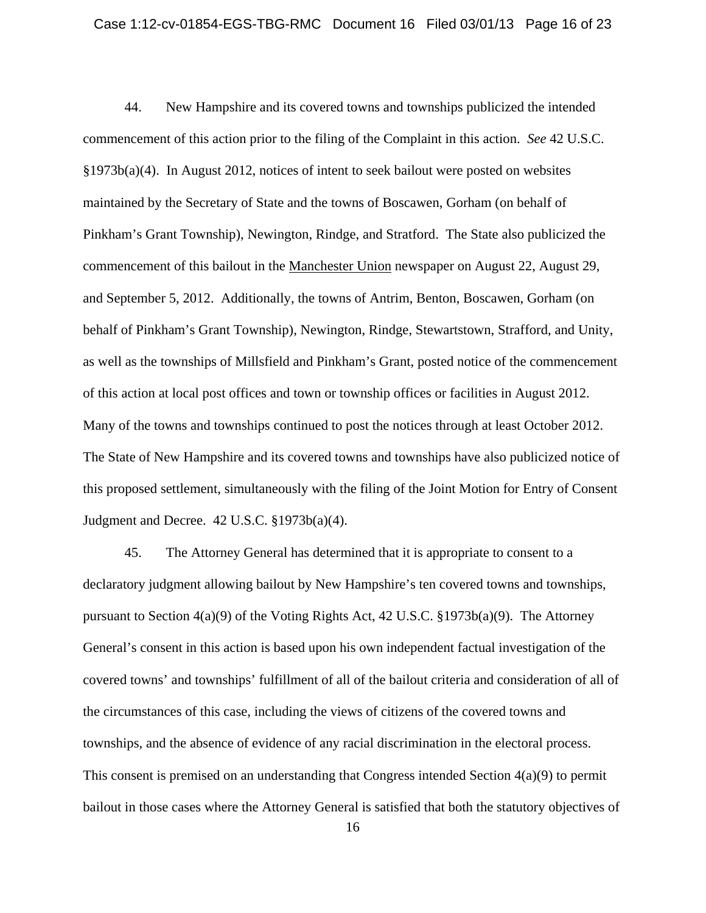44. New Hampshire and its covered towns and townships publicized the intended commencement of this action prior to the filing of the Complaint in this action. *See* 42 U.S.C. §1973b(a)(4). In August 2012, notices of intent to seek bailout were posted on websites maintained by the Secretary of State and the towns of Boscawen, Gorham (on behalf of Pinkham's Grant Township), Newington, Rindge, and Stratford. The State also publicized the commencement of this bailout in the Manchester Union newspaper on August 22, August 29, and September 5, 2012. Additionally, the towns of Antrim, Benton, Boscawen, Gorham (on behalf of Pinkham's Grant Township), Newington, Rindge, Stewartstown, Strafford, and Unity, as well as the townships of Millsfield and Pinkham's Grant, posted notice of the commencement of this action at local post offices and town or township offices or facilities in August 2012. Many of the towns and townships continued to post the notices through at least October 2012. The State of New Hampshire and its covered towns and townships have also publicized notice of this proposed settlement, simultaneously with the filing of the Joint Motion for Entry of Consent Judgment and Decree. 42 U.S.C. §1973b(a)(4).

45. The Attorney General has determined that it is appropriate to consent to a declaratory judgment allowing bailout by New Hampshire's ten covered towns and townships, pursuant to Section 4(a)(9) of the Voting Rights Act, 42 U.S.C. §1973b(a)(9). The Attorney General's consent in this action is based upon his own independent factual investigation of the covered towns' and townships' fulfillment of all of the bailout criteria and consideration of all of the circumstances of this case, including the views of citizens of the covered towns and townships, and the absence of evidence of any racial discrimination in the electoral process. This consent is premised on an understanding that Congress intended Section 4(a)(9) to permit bailout in those cases where the Attorney General is satisfied that both the statutory objectives of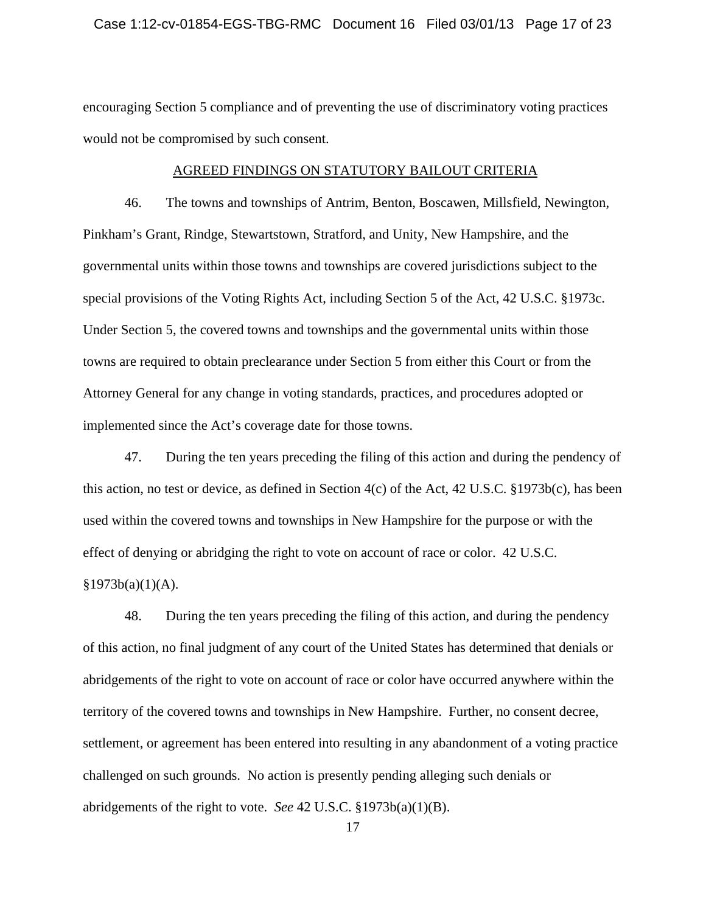encouraging Section 5 compliance and of preventing the use of discriminatory voting practices would not be compromised by such consent.

### AGREED FINDINGS ON STATUTORY BAILOUT CRITERIA

46. The towns and townships of Antrim, Benton, Boscawen, Millsfield, Newington, Pinkham's Grant, Rindge, Stewartstown, Stratford, and Unity, New Hampshire, and the governmental units within those towns and townships are covered jurisdictions subject to the special provisions of the Voting Rights Act, including Section 5 of the Act, 42 U.S.C. §1973c. Under Section 5, the covered towns and townships and the governmental units within those towns are required to obtain preclearance under Section 5 from either this Court or from the Attorney General for any change in voting standards, practices, and procedures adopted or implemented since the Act's coverage date for those towns.

47. During the ten years preceding the filing of this action and during the pendency of this action, no test or device, as defined in Section 4(c) of the Act, 42 U.S.C. §1973b(c), has been used within the covered towns and townships in New Hampshire for the purpose or with the effect of denying or abridging the right to vote on account of race or color. 42 U.S.C.

 $§1973b(a)(1)(A).$ 

48. During the ten years preceding the filing of this action, and during the pendency of this action, no final judgment of any court of the United States has determined that denials or abridgements of the right to vote on account of race or color have occurred anywhere within the territory of the covered towns and townships in New Hampshire. Further, no consent decree, settlement, or agreement has been entered into resulting in any abandonment of a voting practice challenged on such grounds. No action is presently pending alleging such denials or abridgements of the right to vote. *See* 42 U.S.C. §1973b(a)(1)(B).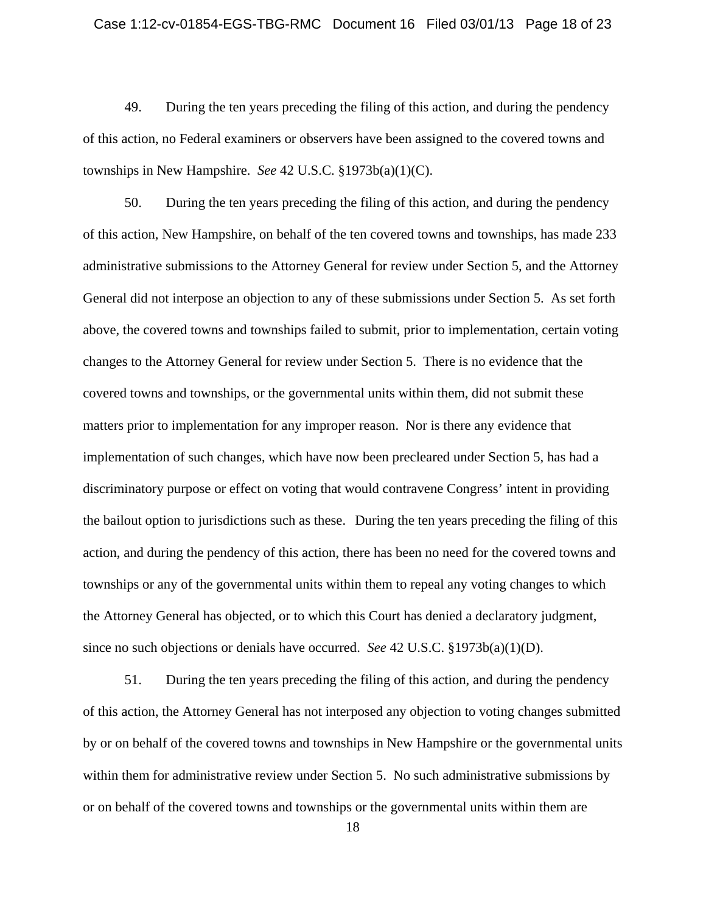#### Case 1:12-cv-01854-EGS-TBG-RMC Document 16 Filed 03/01/13 Page 18 of 23

49. During the ten years preceding the filing of this action, and during the pendency of this action, no Federal examiners or observers have been assigned to the covered towns and townships in New Hampshire. *See* 42 U.S.C. §1973b(a)(1)(C).

50. During the ten years preceding the filing of this action, and during the pendency of this action, New Hampshire, on behalf of the ten covered towns and townships, has made 233 administrative submissions to the Attorney General for review under Section 5, and the Attorney General did not interpose an objection to any of these submissions under Section 5. As set forth above, the covered towns and townships failed to submit, prior to implementation, certain voting changes to the Attorney General for review under Section 5. There is no evidence that the covered towns and townships, or the governmental units within them, did not submit these matters prior to implementation for any improper reason. Nor is there any evidence that implementation of such changes, which have now been precleared under Section 5, has had a discriminatory purpose or effect on voting that would contravene Congress' intent in providing the bailout option to jurisdictions such as these. During the ten years preceding the filing of this action, and during the pendency of this action, there has been no need for the covered towns and townships or any of the governmental units within them to repeal any voting changes to which the Attorney General has objected, or to which this Court has denied a declaratory judgment, since no such objections or denials have occurred. *See* 42 U.S.C. §1973b(a)(1)(D).

51. During the ten years preceding the filing of this action, and during the pendency of this action, the Attorney General has not interposed any objection to voting changes submitted by or on behalf of the covered towns and townships in New Hampshire or the governmental units within them for administrative review under Section 5. No such administrative submissions by or on behalf of the covered towns and townships or the governmental units within them are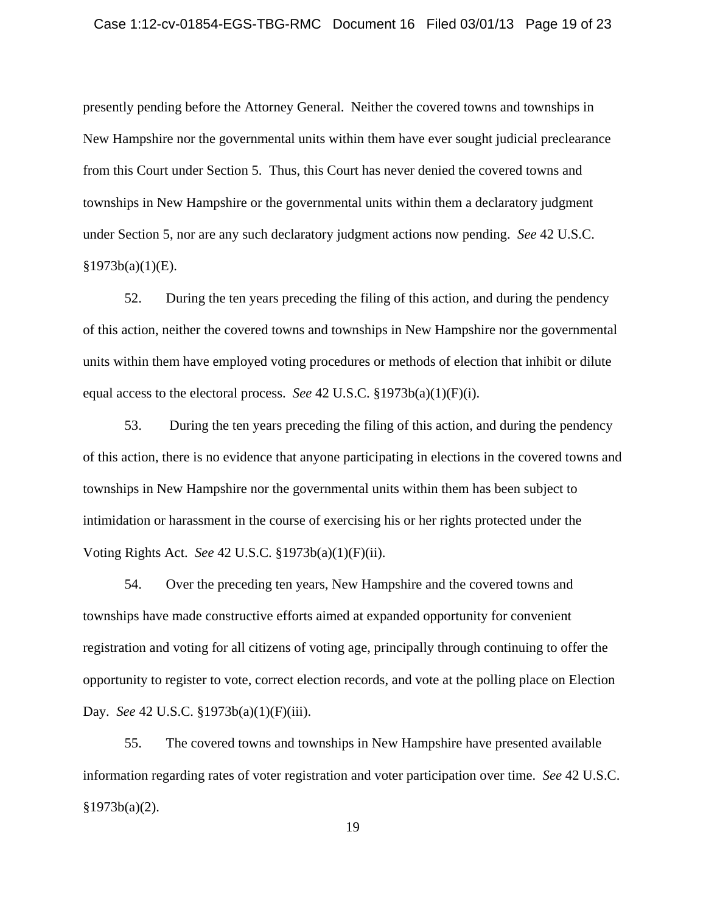#### Case 1:12-cv-01854-EGS-TBG-RMC Document 16 Filed 03/01/13 Page 19 of 23

presently pending before the Attorney General. Neither the covered towns and townships in New Hampshire nor the governmental units within them have ever sought judicial preclearance from this Court under Section 5. Thus, this Court has never denied the covered towns and townships in New Hampshire or the governmental units within them a declaratory judgment under Section 5, nor are any such declaratory judgment actions now pending. *See* 42 U.S.C.  $§1973b(a)(1)(E).$ 

52. During the ten years preceding the filing of this action, and during the pendency of this action, neither the covered towns and townships in New Hampshire nor the governmental units within them have employed voting procedures or methods of election that inhibit or dilute equal access to the electoral process. *See* 42 U.S.C. §1973b(a)(1)(F)(i).

53. During the ten years preceding the filing of this action, and during the pendency of this action, there is no evidence that anyone participating in elections in the covered towns and townships in New Hampshire nor the governmental units within them has been subject to intimidation or harassment in the course of exercising his or her rights protected under the Voting Rights Act. *See* 42 U.S.C. §1973b(a)(1)(F)(ii).

54. Over the preceding ten years, New Hampshire and the covered towns and townships have made constructive efforts aimed at expanded opportunity for convenient registration and voting for all citizens of voting age, principally through continuing to offer the opportunity to register to vote, correct election records, and vote at the polling place on Election Day. *See* 42 U.S.C. §1973b(a)(1)(F)(iii).

55. The covered towns and townships in New Hampshire have presented available information regarding rates of voter registration and voter participation over time. *See* 42 U.S.C.  $§1973b(a)(2)$ .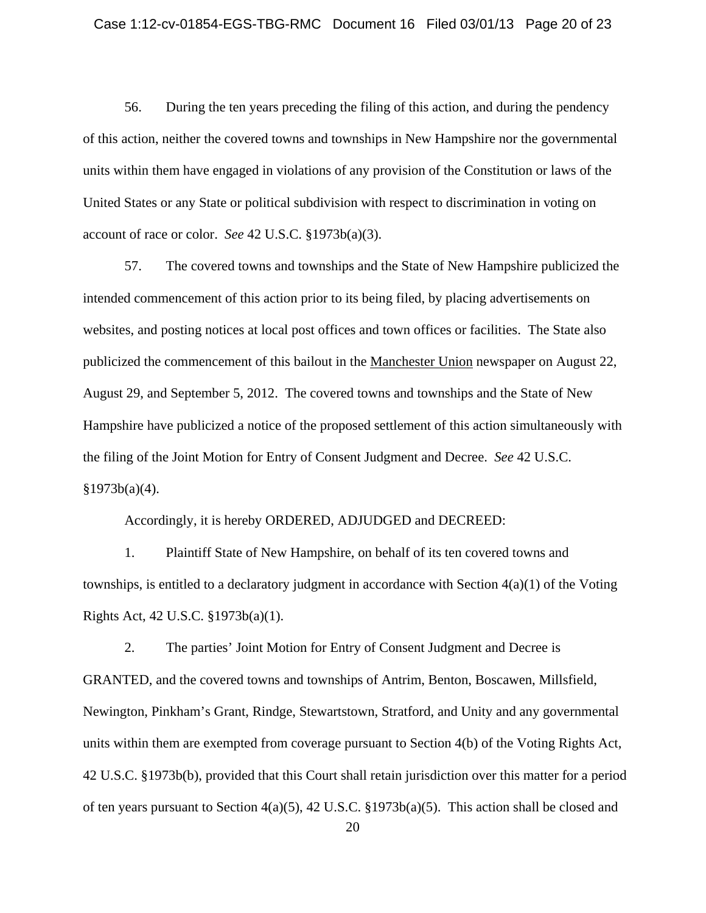56. During the ten years preceding the filing of this action, and during the pendency of this action, neither the covered towns and townships in New Hampshire nor the governmental units within them have engaged in violations of any provision of the Constitution or laws of the United States or any State or political subdivision with respect to discrimination in voting on account of race or color. *See* 42 U.S.C. §1973b(a)(3).

57. The covered towns and townships and the State of New Hampshire publicized the intended commencement of this action prior to its being filed, by placing advertisements on websites, and posting notices at local post offices and town offices or facilities. The State also publicized the commencement of this bailout in the Manchester Union newspaper on August 22, August 29, and September 5, 2012. The covered towns and townships and the State of New Hampshire have publicized a notice of the proposed settlement of this action simultaneously with the filing of the Joint Motion for Entry of Consent Judgment and Decree. *See* 42 U.S.C.  $§1973b(a)(4).$ 

Accordingly, it is hereby ORDERED, ADJUDGED and DECREED:

1. Plaintiff State of New Hampshire, on behalf of its ten covered towns and townships, is entitled to a declaratory judgment in accordance with Section 4(a)(1) of the Voting Rights Act, 42 U.S.C. §1973b(a)(1).

2. The parties' Joint Motion for Entry of Consent Judgment and Decree is GRANTED, and the covered towns and townships of Antrim, Benton, Boscawen, Millsfield, Newington, Pinkham's Grant, Rindge, Stewartstown, Stratford, and Unity and any governmental units within them are exempted from coverage pursuant to Section 4(b) of the Voting Rights Act, 42 U.S.C. §1973b(b), provided that this Court shall retain jurisdiction over this matter for a period of ten years pursuant to Section 4(a)(5), 42 U.S.C. §1973b(a)(5). This action shall be closed and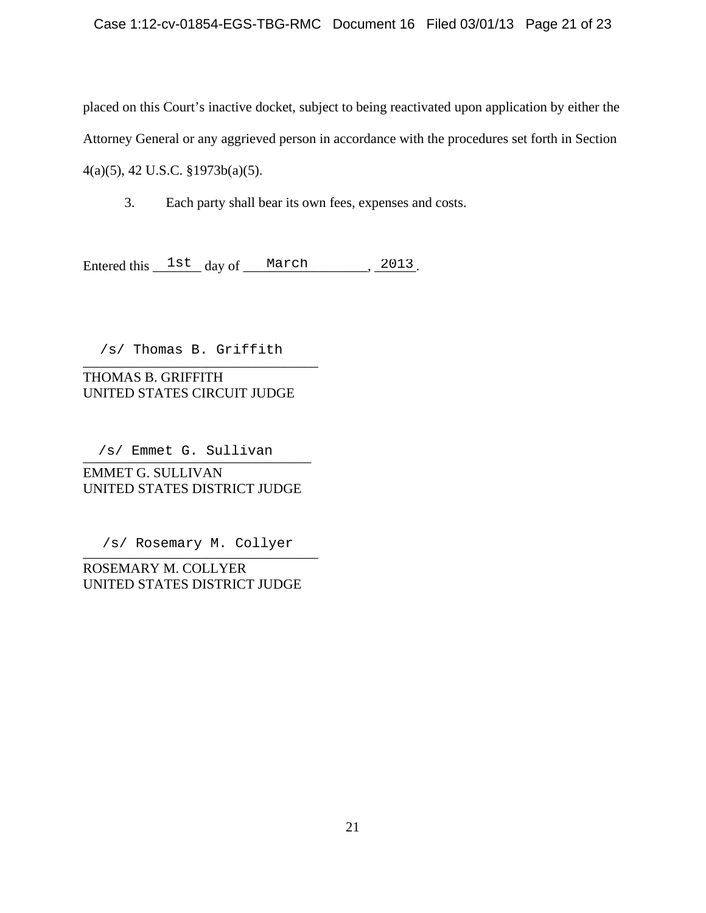# Case 1:12-cv-01854-EGS-TBG-RMC Document 16 Filed 03/01/13 Page 21 of 23

placed on this Court's inactive docket, subject to being reactivated upon application by either the Attorney General or any aggrieved person in accordance with the procedures set forth in Section 4(a)(5), 42 U.S.C. §1973b(a)(5).

3. Each party shall bear its own fees, expenses and costs.

Entered this  $\frac{\text{1st}}{\text{1st}}$  day of  $\frac{\text{March}}{\text{1st}}$ , 2013.

\_\_\_\_\_\_\_\_\_\_\_\_\_\_\_\_\_\_\_\_\_\_\_\_\_\_\_\_\_\_\_\_\_\_ /s/ Thomas B. Griffith

## THOMAS B. GRIFFITH UNITED STATES CIRCUIT JUDGE

\_\_\_\_\_\_\_\_\_\_\_\_\_\_\_\_\_\_\_\_\_\_\_\_\_\_\_\_\_\_\_\_\_ /s/ Emmet G. Sullivan

EMMET G. SULLIVAN UNITED STATES DISTRICT JUDGE ered this <u>1st</u> day of <u>March<br>
/s/ Thomas B. Griffith<br>
OMAS B.GRIFFITH<br>
ITED STATES CIRCUIT JUDGE<br>
/s/ Emmet G. Sullivan<br>
MET G.SULLIVAN<br>
ITED STATES DISTRICT JUDGE<br>
/s/ Rosemary M. Collyer</u>

/s/ Rosemary M. Collyer

ROSEMARY M. COLLYER UNITED STATES DISTRICT JUDGE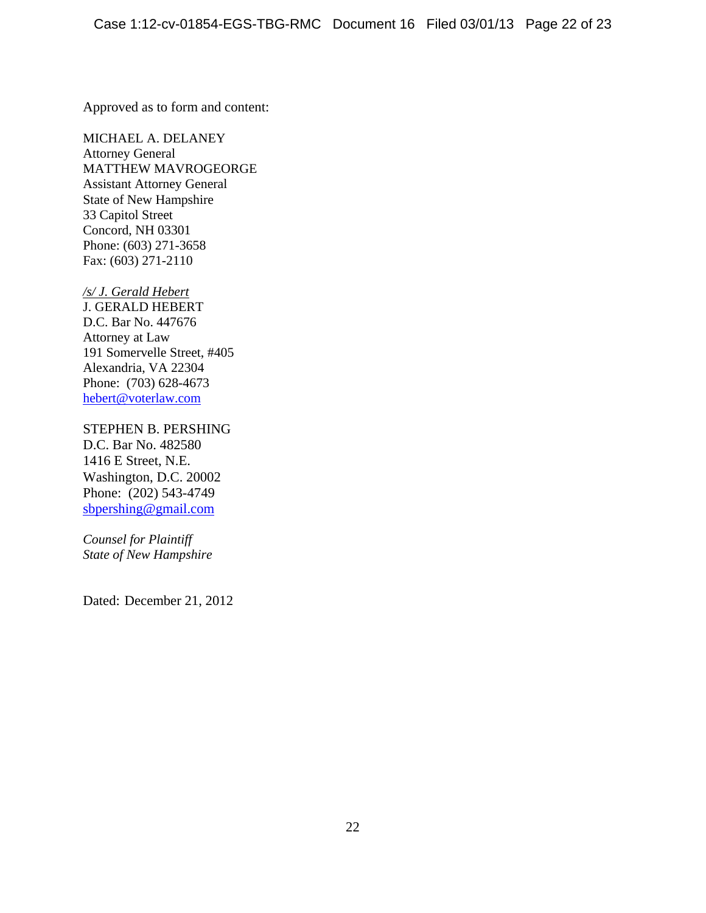Approved as to form and content:

MICHAEL A. DELANEY Attorney General MATTHEW MAVROGEORGE Assistant Attorney General State of New Hampshire 33 Capitol Street Concord, NH 03301 Phone: (603) 271-3658 Fax: (603) 271-2110

*/s/ J. Gerald Hebert* J. GERALD HEBERT D.C. Bar No. 447676 Attorney at Law 191 Somervelle Street, #405 Alexandria, VA 22304 Phone: (703) 628-4673

hebert@voterlaw.com

STEPHEN B. PERSHING D.C. Bar No. 482580 1416 E Street, N.E. Washington, D.C. 20002 Phone: (202) 543-4749 sbpershing@gmail.com

*Counsel for Plaintiff State of New Hampshire* 

Dated: December 21, 2012